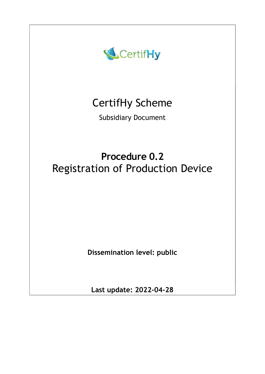

# CertifHy Scheme

Subsidiary Document

# Procedure 0.2 Registration of Production Device

Dissemination level: public

Last update: 2022-04-28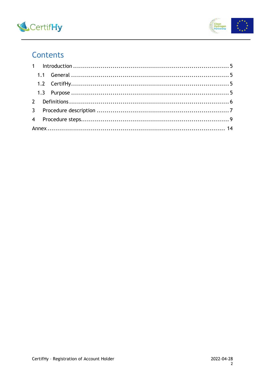



## Contents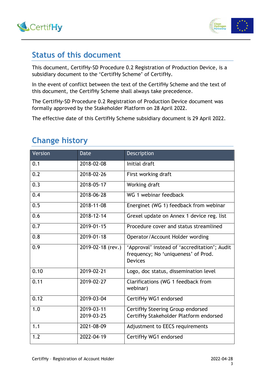



### Status of this document

This document, CertifHy-SD Procedure 0.2 Registration of Production Device, is a subsidiary document to the 'CertifHy Scheme' of CertifHy.

In the event of conflict between the text of the CertifHy Scheme and the text of this document, the CertifHy Scheme shall always take precedence.

The CertifHy-SD Procedure 0.2 Registration of Production Device document was formally approved by the Stakeholder Platform on 28 April 2022.

The effective date of this CertifHy Scheme subsidiary document is 29 April 2022.

| <b>Version</b> | Date              | Description                                                                                           |
|----------------|-------------------|-------------------------------------------------------------------------------------------------------|
| 0.1            | 2018-02-08        | Initial draft                                                                                         |
| 0.2            | 2018-02-26        | First working draft                                                                                   |
| 0.3            | 2018-05-17        | Working draft                                                                                         |
| 0.4            | 2018-06-28        | WG 1 webinar feedback                                                                                 |
| 0.5            | 2018-11-08        | Energinet (WG 1) feedback from webinar                                                                |
| 0.6            | 2018-12-14        | Grexel update on Annex 1 device reg. list                                                             |
| 0.7            | 2019-01-15        | Procedure cover and status streamlined                                                                |
| 0.8            | 2019-01-18        | Operator/Account Holder wording                                                                       |
| 0.9            | 2019-02-18 (rev.) | 'Approval' instead of 'accreditation'; Audit<br>frequency; No 'uniqueness' of Prod.<br><b>Devices</b> |
| 0.10           | 2019-02-21        | Logo, doc status, dissemination level                                                                 |
| 0.11           | 2019-02-27        | Clarifications (WG 1 feedback from<br>webinar)                                                        |
| 0.12           | 2019-03-04        | CertifHy WG1 endorsed                                                                                 |
| 1.0            | 2019-03-11        | CertifHy Steering Group endorsed                                                                      |
|                | 2019-03-25        | CertifHy Stakeholder Platform endorsed                                                                |
| 1.1            | 2021-08-09        | Adjustment to EECS requirements                                                                       |
| 1.2            | 2022-04-19        | CertifHy WG1 endorsed                                                                                 |

# Change history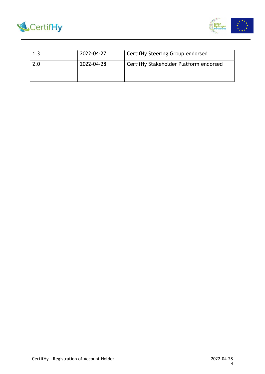



| 2022-04-27 | CertifHy Steering Group endorsed       |
|------------|----------------------------------------|
| 2022-04-28 | CertifHy Stakeholder Platform endorsed |
|            |                                        |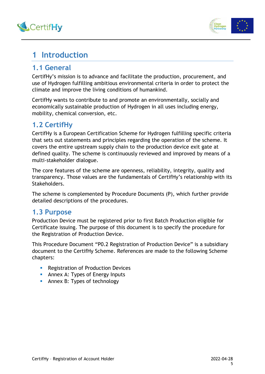



# 1 Introduction

### 1.1 General

CertifHy's mission is to advance and facilitate the production, procurement, and use of Hydrogen fulfilling ambitious environmental criteria in order to protect the climate and improve the living conditions of humankind.

CertifHy wants to contribute to and promote an environmentally, socially and economically sustainable production of Hydrogen in all uses including energy, mobility, chemical conversion, etc.

### 1.2 CertifHy

CertifHy is a European Certification Scheme for Hydrogen fulfilling specific criteria that sets out statements and principles regarding the operation of the scheme. It covers the entire upstream supply chain to the production device exit gate at defined quality. The scheme is continuously reviewed and improved by means of a multi-stakeholder dialogue.

The core features of the scheme are openness, reliability, integrity, quality and transparency. Those values are the fundamentals of CertifHy's relationship with its Stakeholders.

The scheme is complemented by Procedure Documents (P), which further provide detailed descriptions of the procedures.

### 1.3 Purpose

Production Device must be registered prior to first Batch Production eligible for Certificate issuing. The purpose of this document is to specify the procedure for the Registration of Production Device.

This Procedure Document "P0.2 Registration of Production Device" is a subsidiary document to the CertifHy Scheme. References are made to the following Scheme chapters:

- **Registration of Production Devices**
- **Annex A: Types of Energy Inputs**
- **Annex B: Types of technology**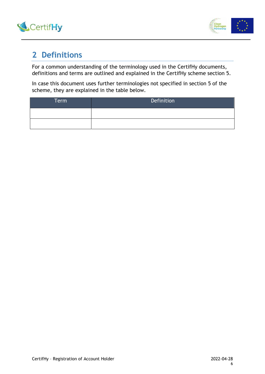



## 2 Definitions

For a common understanding of the terminology used in the CertifHy documents, definitions and terms are outlined and explained in the CertifHy scheme section 5.

In case this document uses further terminologies not specified in section 5 of the scheme, they are explained in the table below.

| Term | Definition |
|------|------------|
|      |            |
|      |            |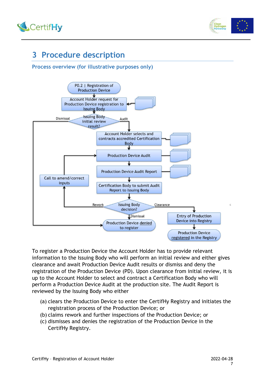



# 3 Procedure description

#### Process overview (for illustrative purposes only)



To register a Production Device the Account Holder has to provide relevant information to the Issuing Body who will perform an initial review and either gives clearance and await Production Device Audit results or dismiss and deny the registration of the Production Device (PD). Upon clearance from initial review, it is up to the Account Holder to select and contract a Certification Body who will perform a Production Device Audit at the production site. The Audit Report is reviewed by the Issuing Body who either

- (a) clears the Production Device to enter the CertifHy Registry and initiates the registration process of the Production Device; or
- (b) claims rework and further inspections of the Production Device; or
- (c) dismisses and denies the registration of the Production Device in the CertifHy Registry.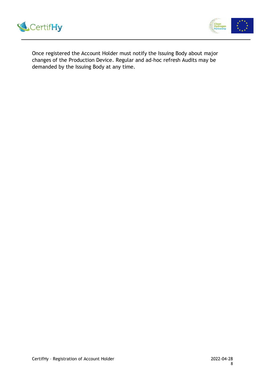



Once registered the Account Holder must notify the Issuing Body about major changes of the Production Device. Regular and ad-hoc refresh Audits may be demanded by the Issuing Body at any time.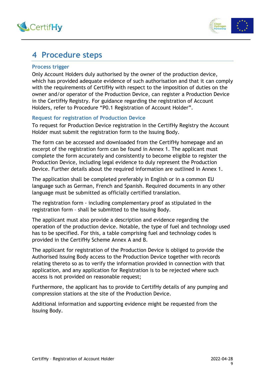



### 4 Procedure steps

#### Process trigger

Only Account Holders duly authorised by the owner of the production device, which has provided adequate evidence of such authorisation and that it can comply with the requirements of CertifHy with respect to the imposition of duties on the owner and/or operator of the Production Device, can register a Production Device in the CertifHy Registry. For guidance regarding the registration of Account Holders, refer to Procedure "P0.1 Registration of Account Holder".

#### Request for registration of Production Device

To request for Production Device registration in the CertifHy Registry the Account Holder must submit the registration form to the Issuing Body.

The form can be accessed and downloaded from the CertifHy homepage and an excerpt of the registration form can be found in Annex 1. The applicant must complete the form accurately and consistently to become eligible to register the Production Device, including legal evidence to duly represent the Production Device. Further details about the required information are outlined in Annex 1.

The application shall be completed preferably in English or in a common EU language such as German, French and Spanish. Required documents in any other language must be submitted as officially certified translation.

The registration form - including complementary proof as stipulated in the registration form – shall be submitted to the Issuing Body.

The applicant must also provide a description and evidence regarding the operation of the production device. Notable, the type of fuel and technology used has to be specified. For this, a table comprising fuel and technology codes is provided in the CertifHy Scheme Annex A and B.

The applicant for registration of the Production Device is obliged to provide the Authorised Issuing Body access to the Production Device together with records relating thereto so as to verify the information provided in connection with that application, and any application for Registration is to be rejected where such access is not provided on reasonable request;

Furthermore, the applicant has to provide to CertifHy details of any pumping and compression stations at the site of the Production Device.

Additional information and supporting evidence might be requested from the Issuing Body.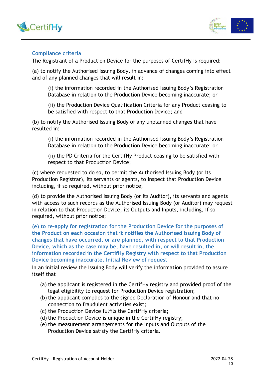



#### Compliance criteria

The Registrant of a Production Device for the purposes of CertifHy is required:

(a) to notify the Authorised Issuing Body, in advance of changes coming into effect and of any planned changes that will result in:

(i) the information recorded in the Authorised Issuing Body's Registration Database in relation to the Production Device becoming inaccurate; or

(ii) the Production Device Qualification Criteria for any Product ceasing to be satisfied with respect to that Production Device; and

(b) to notify the Authorised Issuing Body of any unplanned changes that have resulted in:

(i) the information recorded in the Authorised Issuing Body's Registration Database in relation to the Production Device becoming inaccurate; or

(ii) the PD Criteria for the CertifHy Product ceasing to be satisfied with respect to that Production Device;

(c) where requested to do so, to permit the Authorised Issuing Body (or its Production Registrar), its servants or agents, to inspect that Production Device including, if so required, without prior notice;

(d) to provide the Authorised Issuing Body (or its Auditor), its servants and agents with access to such records as the Authorised Issuing Body (or Auditor) may request in relation to that Production Device, its Outputs and Inputs, including, if so required, without prior notice;

(e) to re-apply for registration for the Production Device for the purposes of the Product on each occasion that it notifies the Authorised Issuing Body of changes that have occurred, or are planned, with respect to that Production Device, which as the case may be, have resulted in, or will result in, the information recorded in the CertifHy Registry with respect to that Production Device becoming inaccurate. Initial Review of request

In an initial review the Issuing Body will verify the information provided to assure itself that

- (a) the applicant is registered in the CertifHy registry and provided proof of the legal eligibility to request for Production Device registration;
- (b) the applicant complies to the signed Declaration of Honour and that no connection to fraudulent activities exist;
- (c) the Production Device fulfils the CertifHy criteria;
- (d) the Production Device is unique in the CertifHy registry;
- (e) the measurement arrangements for the Inputs and Outputs of the Production Device satisfy the CertifHy criteria.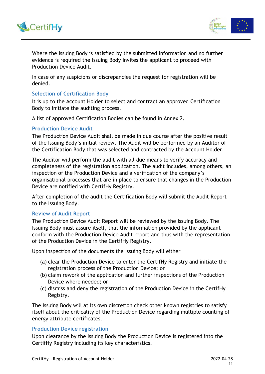



Where the Issuing Body is satisfied by the submitted information and no further evidence is required the Issuing Body invites the applicant to proceed with Production Device Audit.

In case of any suspicions or discrepancies the request for registration will be denied.

#### Selection of Certification Body

It is up to the Account Holder to select and contract an approved Certification Body to initiate the auditing process.

A list of approved Certification Bodies can be found in Annex 2.

#### Production Device Audit

The Production Device Audit shall be made in due course after the positive result of the Issuing Body's initial review. The Audit will be performed by an Auditor of the Certification Body that was selected and contracted by the Account Holder.

The Auditor will perform the audit with all due means to verify accuracy and completeness of the registration application. The audit includes, among others, an inspection of the Production Device and a verification of the company's organisational processes that are in place to ensure that changes in the Production Device are notified with CertifHy Registry.

After completion of the audit the Certification Body will submit the Audit Report to the Issuing Body.

#### Review of Audit Report

The Production Device Audit Report will be reviewed by the Issuing Body. The Issuing Body must assure itself, that the information provided by the applicant conform with the Production Device Audit report and thus with the representation of the Production Device in the CertifHy Registry.

Upon inspection of the documents the Issuing Body will either

- (a) clear the Production Device to enter the CertifHy Registry and initiate the registration process of the Production Device; or
- (b) claim rework of the application and further inspections of the Production Device where needed; or
- (c) dismiss and deny the registration of the Production Device in the CertifHy Registry.

The Issuing Body will at its own discretion check other known registries to satisfy itself about the criticality of the Production Device regarding multiple counting of energy attribute certificates.

#### Production Device registration

Upon clearance by the Issuing Body the Production Device is registered into the CertifHy Registry including its key characteristics.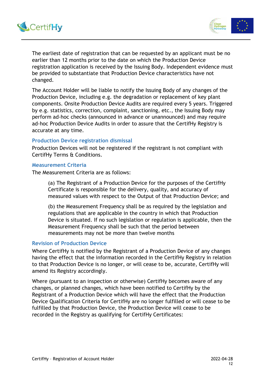



The earliest date of registration that can be requested by an applicant must be no earlier than 12 months prior to the date on which the Production Device registration application is received by the Issuing Body. Independent evidence must be provided to substantiate that Production Device characteristics have not changed.

The Account Holder will be liable to notify the Issuing Body of any changes of the Production Device, including e.g. the degradation or replacement of key plant components. Onsite Production Device Audits are required every 5 years. Triggered by e.g. statistics, correction, complaint, sanctioning, etc., the Issuing Body may perform ad-hoc checks (announced in advance or unannounced) and may require ad-hoc Production Device Audits in order to assure that the CertifHy Registry is accurate at any time.

#### Production Device registration dismissal

Production Devices will not be registered if the registrant is not compliant with CertifHy Terms & Conditions.

#### Measurement Criteria

The Measurement Criteria are as follows:

(a) The Registrant of a Production Device for the purposes of the CertifHy Certificate is responsible for the delivery, quality, and accuracy of measured values with respect to the Output of that Production Device; and

(b) the Measurement Frequency shall be as required by the legislation and regulations that are applicable in the country in which that Production Device is situated. If no such legislation or regulation is applicable, then the Measurement Frequency shall be such that the period between measurements may not be more than twelve months

#### Revision of Production Device

Where CertifHy is notified by the Registrant of a Production Device of any changes having the effect that the information recorded in the CertifHy Registry in relation to that Production Device is no longer, or will cease to be, accurate, CertifHy will amend its Registry accordingly.

Where (pursuant to an inspection or otherwise) CertifHy becomes aware of any changes, or planned changes, which have been notified to CertifHy by the Registrant of a Production Device which will have the effect that the Production Device Qualification Criteria for CertifHy are no longer fulfilled or will cease to be fulfilled by that Production Device, the Production Device will cease to be recorded in the Registry as qualifying for CertifHy Certificates: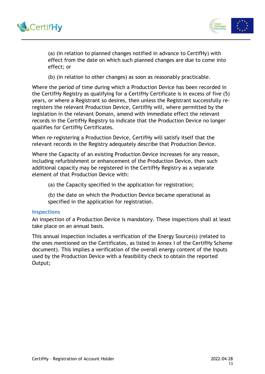



(a) (in relation to planned changes notified in advance to CertifHy) with effect from the date on which such planned changes are due to come into effect; or

(b) (in relation to other changes) as soon as reasonably practicable.

Where the period of time during which a Production Device has been recorded in the CertifHy Registry as qualifying for a CertifHy Certificate is in excess of five (5) years, or where a Registrant so desires, then unless the Registrant successfully reregisters the relevant Production Device, CertifHy will, where permitted by the legislation in the relevant Domain, amend with immediate effect the relevant records in the CertifHy Registry to indicate that the Production Device no longer qualifies for CertifHy Certificates.

When re-registering a Production Device, CertifHy will satisfy itself that the relevant records in the Registry adequately describe that Production Device.

Where the Capacity of an existing Production Device increases for any reason, including refurbishment or enhancement of the Production Device, then such additional capacity may be registered in the CertifHy Registry as a separate element of that Production Device with:

(a) the Capacity specified in the application for registration;

(b) the date on which the Production Device became operational as specified in the application for registration.

#### **Inspections**

An inspection of a Production Device is mandatory. These inspections shall at least take place on an annual basis.

This annual inspection includes a verification of the Energy Source(s) (related to the ones mentioned on the Certificates, as listed in Annex I of the CertifHy Scheme document). This implies a verification of the overall energy content of the Inputs used by the Production Device with a feasibility check to obtain the reported Output;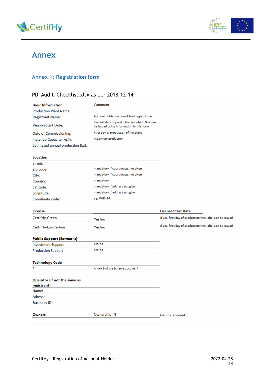



### Annex

### Annex 1: Registration form

#### PD\_Audit\_Checklist.xlsx as per 2018-12-14

| <b>Basic Information</b>          | Comment                                                                                   |                                                          |
|-----------------------------------|-------------------------------------------------------------------------------------------|----------------------------------------------------------|
| <b>Production Plant Name:</b>     |                                                                                           |                                                          |
| <b>Registrant Name:</b>           | Account holder responsible ot registration                                                |                                                          |
| <b>Version Start Date:</b>        | Earliest date of production for which Gos can<br>be issued using information in this form |                                                          |
| Date of Commissioning:            | First day of production of the plant                                                      |                                                          |
| Installed Capacity, kg/h:         | Maximum production                                                                        |                                                          |
| Estimated annual production (kg): |                                                                                           |                                                          |
|                                   |                                                                                           |                                                          |
| Location                          |                                                                                           |                                                          |
| Street:                           |                                                                                           |                                                          |
| Zip code:                         | mandatory if coordinates not given                                                        |                                                          |
| City:                             | mandatory if coordinates not given                                                        |                                                          |
| Country:                          | mandatory                                                                                 |                                                          |
| Latitude:                         | mandatory if address not given                                                            |                                                          |
| Longitude:                        | mandatory if address not given                                                            |                                                          |
| Coordinate code:                  | e.g. WGS-84                                                                               |                                                          |
|                                   |                                                                                           |                                                          |
| <b>License</b>                    |                                                                                           | <b>License Start Date</b>                                |
| CertifHy-Green                    | Yes/no                                                                                    | If yes, first day of production this label can be issued |
| CertifHy-LowCarbon                | Yes/no                                                                                    | If yes, first day of production this label can be issued |
| <b>Public Support (Earmarks)</b>  |                                                                                           |                                                          |
| <b>Investment Support</b>         | Yes/no                                                                                    |                                                          |
| <b>Production Support</b>         | Yes/no                                                                                    |                                                          |
|                                   |                                                                                           |                                                          |
| <b>Technology Code</b>            |                                                                                           |                                                          |
|                                   | Annex B of the Scheme document                                                            |                                                          |
| Operator (if not the same as      |                                                                                           |                                                          |
| registrant)                       |                                                                                           |                                                          |
| Name:                             |                                                                                           |                                                          |
| Adress:                           |                                                                                           |                                                          |
| <b>Business ID:</b>               |                                                                                           |                                                          |
|                                   |                                                                                           |                                                          |
| <b>Owners</b>                     | Ownership -%                                                                              | <b>Issuing account</b>                                   |
|                                   |                                                                                           |                                                          |